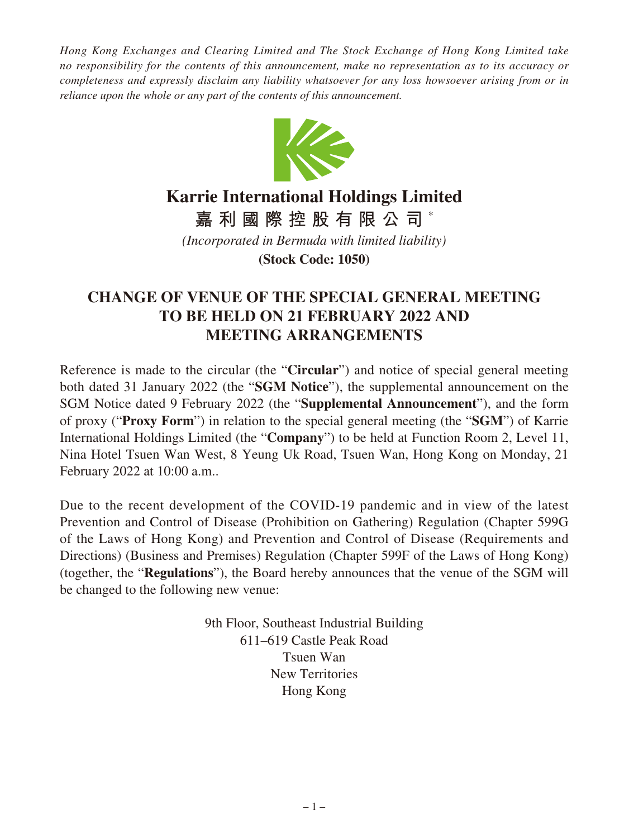*Hong Kong Exchanges and Clearing Limited and The Stock Exchange of Hong Kong Limited take no responsibility for the contents of this announcement, make no representation as to its accuracy or completeness and expressly disclaim any liability whatsoever for any loss howsoever arising from or in reliance upon the whole or any part of the contents of this announcement.*



## **Karrie International Holdings Limited**

**嘉利國際控股有限公司** \*

*(Incorporated in Bermuda with limited liability)*

**(Stock Code: 1050)**

## **CHANGE OF VENUE OF THE SPECIAL GENERAL MEETING TO BE HELD ON 21 FEBRUARY 2022 AND MEETING ARRANGEMENTS**

Reference is made to the circular (the "**Circular**") and notice of special general meeting both dated 31 January 2022 (the "**SGM Notice**"), the supplemental announcement on the SGM Notice dated 9 February 2022 (the "**Supplemental Announcement**"), and the form of proxy ("**Proxy Form**") in relation to the special general meeting (the "**SGM**") of Karrie International Holdings Limited (the "**Company**") to be held at Function Room 2, Level 11, Nina Hotel Tsuen Wan West, 8 Yeung Uk Road, Tsuen Wan, Hong Kong on Monday, 21 February 2022 at 10:00 a.m..

Due to the recent development of the COVID-19 pandemic and in view of the latest Prevention and Control of Disease (Prohibition on Gathering) Regulation (Chapter 599G of the Laws of Hong Kong) and Prevention and Control of Disease (Requirements and Directions) (Business and Premises) Regulation (Chapter 599F of the Laws of Hong Kong) (together, the "**Regulations**"), the Board hereby announces that the venue of the SGM will be changed to the following new venue:

> 9th Floor, Southeast Industrial Building 611–619 Castle Peak Road Tsuen Wan New Territories Hong Kong